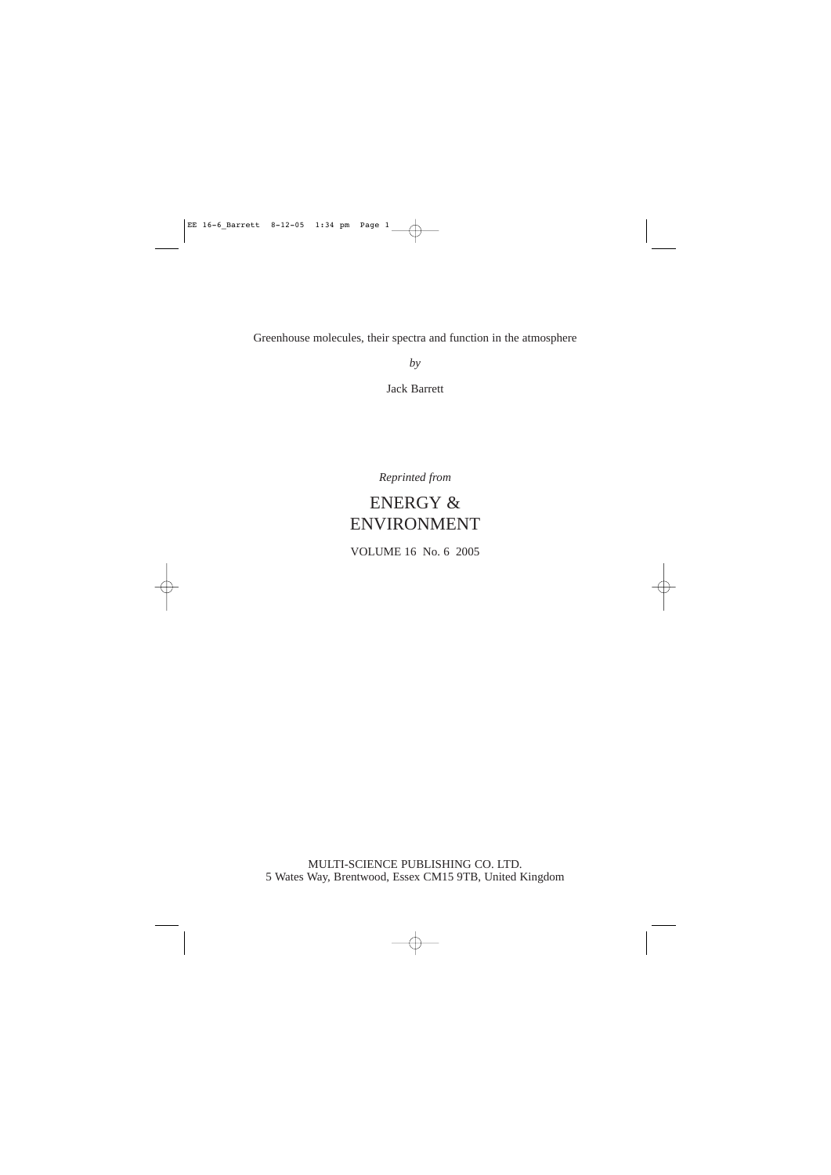Greenhouse molecules, their spectra and function in the atmosphere

*by*

Jack Barrett

*Reprinted from*

# ENERGY & ENVIRONMENT

VOLUME 16 No. 6 2005

MULTI-SCIENCE PUBLISHING CO. LTD. 5 Wates Way, Brentwood, Essex CM15 9TB, United Kingdom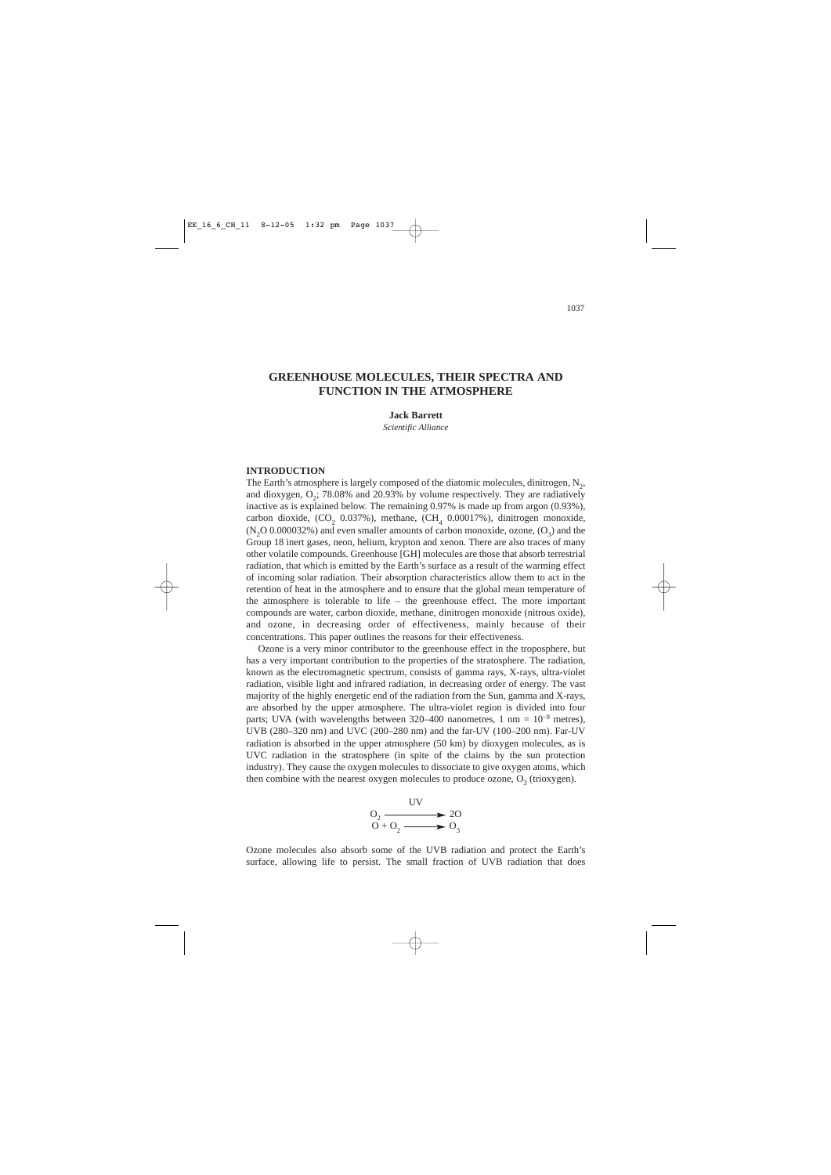# **GREENHOUSE MOLECULES, THEIR SPECTRA AND FUNCTION IN THE ATMOSPHERE**

#### **Jack Barrett**

*Scientific Alliance*

## **INTRODUCTION**

The Earth's atmosphere is largely composed of the diatomic molecules, dinitrogen, N<sub>2</sub>, and dioxygen,  $O<sub>2</sub>$ ; 78.08% and 20.93% by volume respectively. They are radiatively inactive as is explained below. The remaining 0.97% is made up from argon (0.93%), carbon dioxide,  $(CO<sub>2</sub> 0.037%)$ , methane,  $(CH<sub>4</sub> 0.00017%)$ , dinitrogen monoxide,  $(N, O\ 0.000032\%)$  and even smaller amounts of carbon monoxide, ozone,  $(O_3)$  and the Group 18 inert gases, neon, helium, krypton and xenon. There are also traces of many other volatile compounds. Greenhouse [GH] molecules are those that absorb terrestrial radiation, that which is emitted by the Earth's surface as a result of the warming effect of incoming solar radiation. Their absorption characteristics allow them to act in the retention of heat in the atmosphere and to ensure that the global mean temperature of the atmosphere is tolerable to life  $-$  the greenhouse effect. The more important compounds are water, carbon dioxide, methane, dinitrogen monoxide (nitrous oxide), and ozone, in decreasing order of effectiveness, mainly because of their concentrations. This paper outlines the reasons for their effectiveness.

Ozone is a very minor contributor to the greenhouse effect in the troposphere, but has a very important contribution to the properties of the stratosphere. The radiation, known as the electromagnetic spectrum, consists of gamma rays, X-rays, ultra-violet radiation, visible light and infrared radiation, in decreasing order of energy. The vast majority of the highly energetic end of the radiation from the Sun, gamma and X-rays, are absorbed by the upper atmosphere. The ultra-violet region is divided into four parts; UVA (with wavelengths between 320–400 nanometres, 1 nm =  $10^{-9}$  metres), UVB (280–320 nm) and UVC (200–280 nm) and the far-UV (100–200 nm). Far-UV radiation is absorbed in the upper atmosphere (50 km) by dioxygen molecules, as is UVC radiation in the stratosphere (in spite of the claims by the sun protection industry). They cause the oxygen molecules to dissociate to give oxygen atoms, which then combine with the nearest oxygen molecules to produce ozone,  $O_3$  (trioxygen).



Ozone molecules also absorb some of the UVB radiation and protect the Earth's surface, allowing life to persist. The small fraction of UVB radiation that does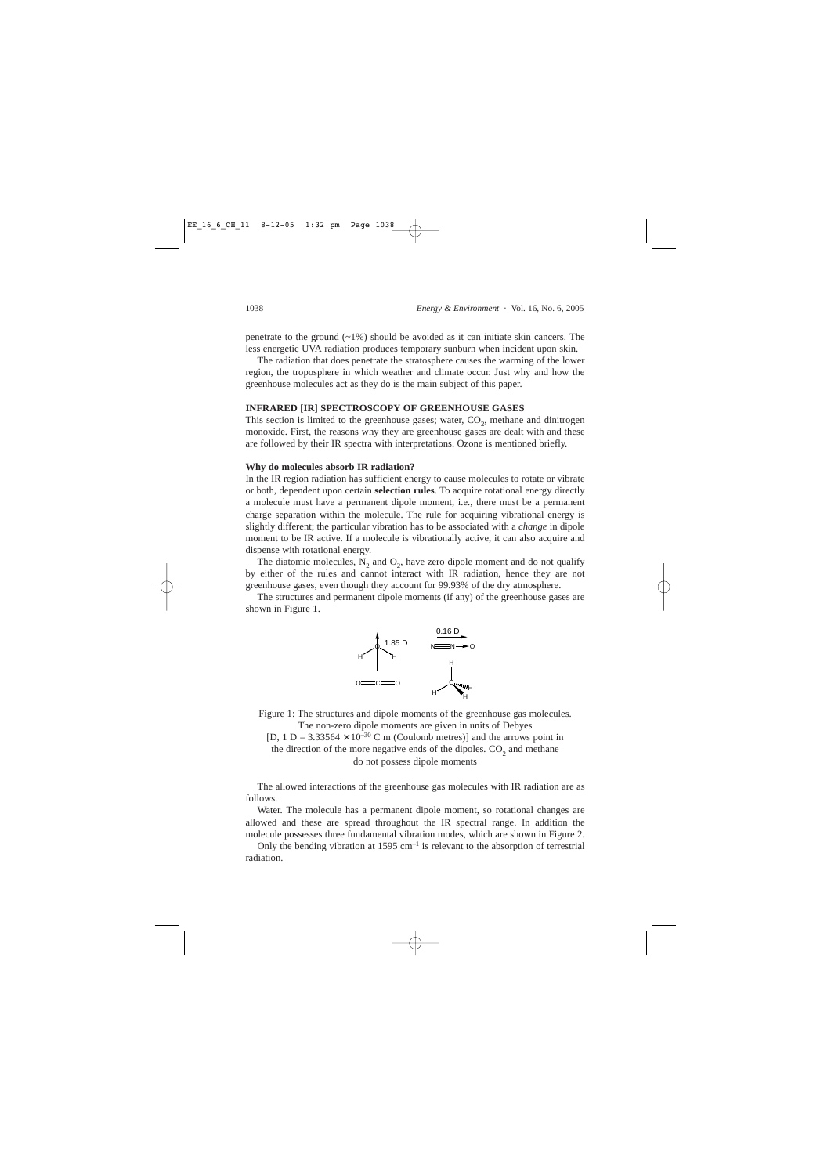penetrate to the ground  $(\sim 1\%)$  should be avoided as it can initiate skin cancers. The less energetic UVA radiation produces temporary sunburn when incident upon skin.

The radiation that does penetrate the stratosphere causes the warming of the lower region, the troposphere in which weather and climate occur. Just why and how the greenhouse molecules act as they do is the main subject of this paper.

## **INFRARED [IR] SPECTROSCOPY OF GREENHOUSE GASES**

This section is limited to the greenhouse gases; water,  $CO<sub>2</sub>$ , methane and dinitrogen monoxide. First, the reasons why they are greenhouse gases are dealt with and these are followed by their IR spectra with interpretations. Ozone is mentioned briefly.

#### **Why do molecules absorb IR radiation?**

In the IR region radiation has sufficient energy to cause molecules to rotate or vibrate or both, dependent upon certain **selection rules**. To acquire rotational energy directly a molecule must have a permanent dipole moment, i.e., there must be a permanent charge separation within the molecule. The rule for acquiring vibrational energy is slightly different; the particular vibration has to be associated with a *change* in dipole moment to be IR active. If a molecule is vibrationally active, it can also acquire and dispense with rotational energy.

The diatomic molecules,  $N_2$  and  $O_2$ , have zero dipole moment and do not qualify by either of the rules and cannot interact with IR radiation, hence they are not greenhouse gases, even though they account for 99.93% of the dry atmosphere.

The structures and permanent dipole moments (if any) of the greenhouse gases are shown in Figure 1.



Figure 1: The structures and dipole moments of the greenhouse gas molecules. The non-zero dipole moments are given in units of Debyes

[D, 1 D = 3.33564  $\times$  10<sup>-30</sup> C m (Coulomb metres)] and the arrows point in the direction of the more negative ends of the dipoles.  $CO<sub>2</sub>$  and methane do not possess dipole moments

The allowed interactions of the greenhouse gas molecules with IR radiation are as follows.

Water. The molecule has a permanent dipole moment, so rotational changes are allowed and these are spread throughout the IR spectral range. In addition the molecule possesses three fundamental vibration modes, which are shown in Figure 2.

Only the bending vibration at  $1595 \text{ cm}^{-1}$  is relevant to the absorption of terrestrial radiation.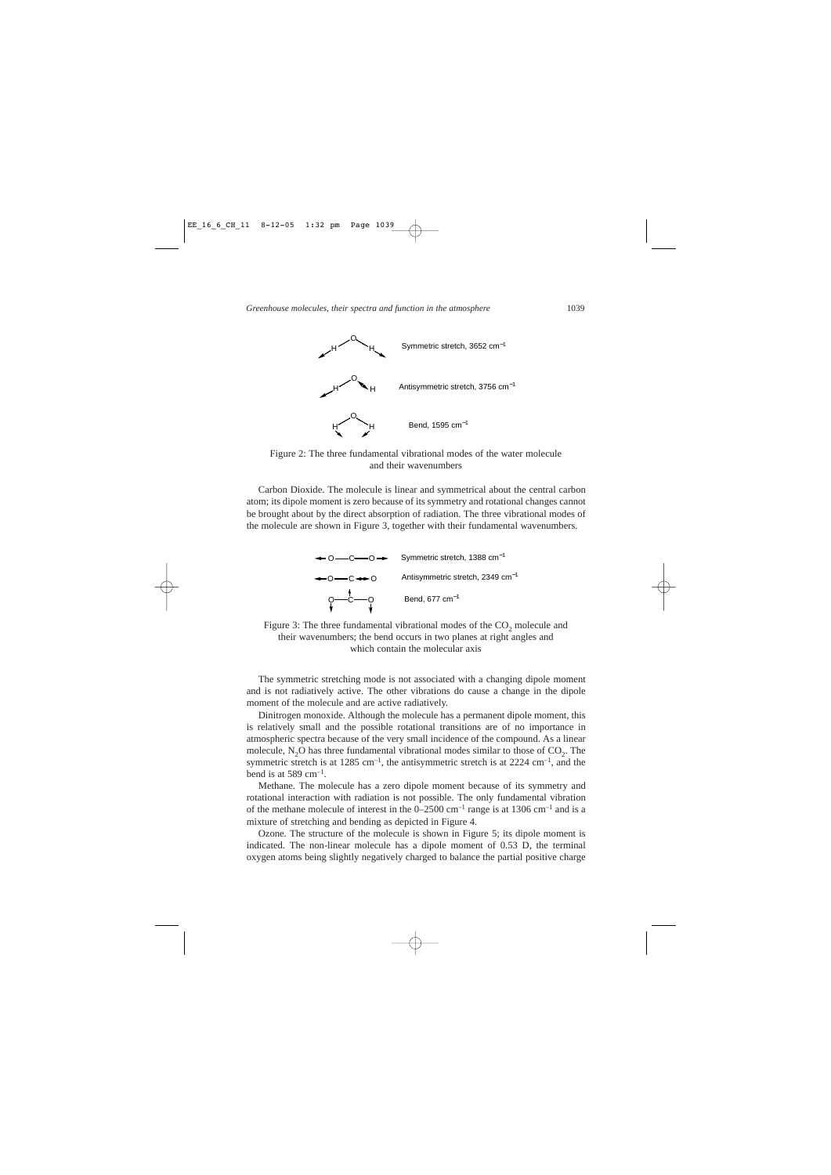

Figure 2: The three fundamental vibrational modes of the water molecule and their wavenumbers

Carbon Dioxide. The molecule is linear and symmetrical about the central carbon atom; its dipole moment is zero because of its symmetry and rotational changes cannot be brought about by the direct absorption of radiation. The three vibrational modes of the molecule are shown in Figure 3, together with their fundamental wavenumbers.



Figure 3: The three fundamental vibrational modes of the  $CO<sub>2</sub>$  molecule and their wavenumbers; the bend occurs in two planes at right angles and which contain the molecular axis

The symmetric stretching mode is not associated with a changing dipole moment and is not radiatively active. The other vibrations do cause a change in the dipole moment of the molecule and are active radiatively.

Dinitrogen monoxide. Although the molecule has a permanent dipole moment, this is relatively small and the possible rotational transitions are of no importance in atmospheric spectra because of the very small incidence of the compound. As a linear molecule,  $N_2O$  has three fundamental vibrational modes similar to those of  $CO_2$ . The symmetric stretch is at  $1285 \text{ cm}^{-1}$ , the antisymmetric stretch is at  $2224 \text{ cm}^{-1}$ , and the bend is at 589 cm<sup>-1</sup>.

Methane. The molecule has a zero dipole moment because of its symmetry and rotational interaction with radiation is not possible. The only fundamental vibration of the methane molecule of interest in the  $0-2500$  cm<sup>-1</sup> range is at 1306 cm<sup>-1</sup> and is a mixture of stretching and bending as depicted in Figure 4.

Ozone. The structure of the molecule is shown in Figure 5; its dipole moment is indicated. The non-linear molecule has a dipole moment of 0.53 D, the terminal oxygen atoms being slightly negatively charged to balance the partial positive charge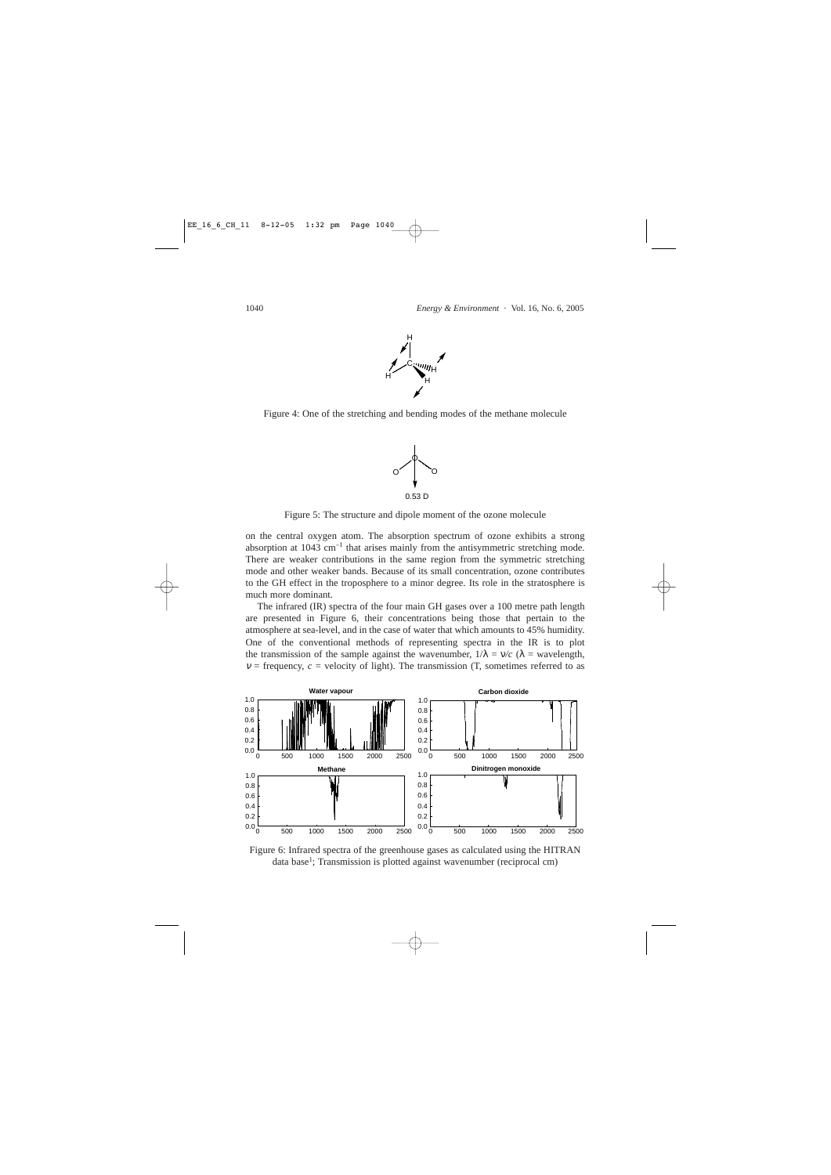

Figure 4: One of the stretching and bending modes of the methane molecule



Figure 5: The structure and dipole moment of the ozone molecule

on the central oxygen atom. The absorption spectrum of ozone exhibits a strong absorption at 1043 cm<sup>-1</sup> that arises mainly from the antisymmetric stretching mode. There are weaker contributions in the same region from the symmetric stretching mode and other weaker bands. Because of its small concentration, ozone contributes to the GH effect in the troposphere to a minor degree. Its role in the stratosphere is much more dominant.

The infrared (IR) spectra of the four main GH gases over a 100 metre path length are presented in Figure 6, their concentrations being those that pertain to the atmosphere at sea-level, and in the case of water that which amounts to 45% humidity. One of the conventional methods of representing spectra in the IR is to plot the transmission of the sample against the wavenumber,  $1/\lambda = v/c$  ( $\lambda =$  wavelength,  $v =$  frequency,  $c =$  velocity of light). The transmission (T, sometimes referred to as



Figure 6: Infrared spectra of the greenhouse gases as calculated using the HITRAN data base<sup>1</sup>; Transmission is plotted against wavenumber (reciprocal cm)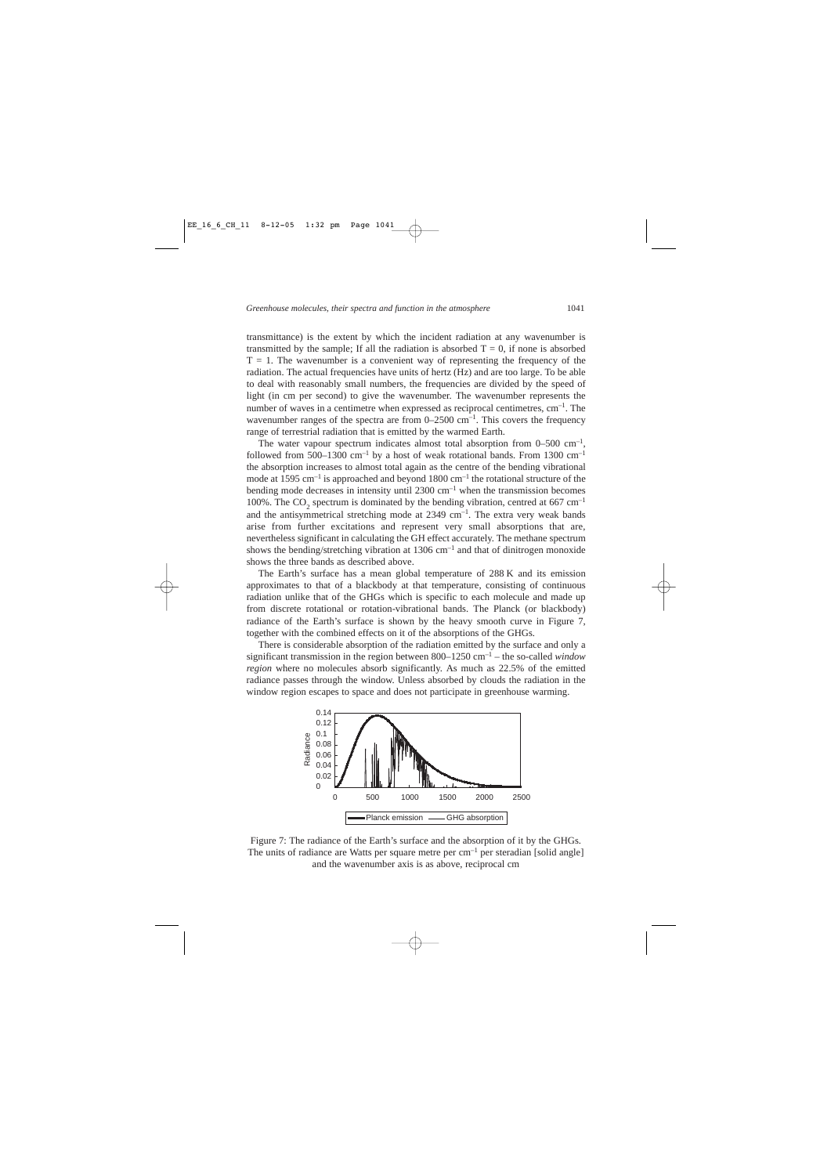transmittance) is the extent by which the incident radiation at any wavenumber is transmitted by the sample; If all the radiation is absorbed  $T = 0$ , if none is absorbed  $T = 1$ . The wavenumber is a convenient way of representing the frequency of the radiation. The actual frequencies have units of hertz (Hz) and are too large. To be able to deal with reasonably small numbers, the frequencies are divided by the speed of light (in cm per second) to give the wavenumber. The wavenumber represents the number of waves in a centimetre when expressed as reciprocal centimetres,  $cm^{-1}$ . The wavenumber ranges of the spectra are from  $0-2500 \text{ cm}^{-1}$ . This covers the frequency range of terrestrial radiation that is emitted by the warmed Earth.

The water vapour spectrum indicates almost total absorption from  $0-500 \text{ cm}^{-1}$ , followed from 500–1300 cm<sup>-1</sup> by a host of weak rotational bands. From 1300 cm<sup>-1</sup> the absorption increases to almost total again as the centre of the bending vibrational mode at 1595 cm<sup>-1</sup> is approached and beyond  $1800 \text{ cm}^{-1}$  the rotational structure of the bending mode decreases in intensity until  $2300 \text{ cm}^{-1}$  when the transmission becomes 100%. The CO<sub>2</sub> spectrum is dominated by the bending vibration, centred at 667 cm<sup>-1</sup> and the antisymmetrical stretching mode at  $2349 \text{ cm}^{-1}$ . The extra very weak bands arise from further excitations and represent very small absorptions that are, nevertheless significant in calculating the GH effect accurately. The methane spectrum shows the bending/stretching vibration at  $1306 \text{ cm}^{-1}$  and that of dinitrogen monoxide shows the three bands as described above.

The Earth's surface has a mean global temperature of 288 K and its emission approximates to that of a blackbody at that temperature, consisting of continuous radiation unlike that of the GHGs which is specific to each molecule and made up from discrete rotational or rotation-vibrational bands. The Planck (or blackbody) radiance of the Earth's surface is shown by the heavy smooth curve in Figure 7, together with the combined effects on it of the absorptions of the GHGs.

There is considerable absorption of the radiation emitted by the surface and only a significant transmission in the region between 800–1250 cm–1 – the so-called *window region* where no molecules absorb significantly. As much as 22.5% of the emitted radiance passes through the window. Unless absorbed by clouds the radiation in the window region escapes to space and does not participate in greenhouse warming.



Figure 7: The radiance of the Earth's surface and the absorption of it by the GHGs. The units of radiance are Watts per square metre per  $cm^{-1}$  per steradian [solid angle] and the wavenumber axis is as above, reciprocal cm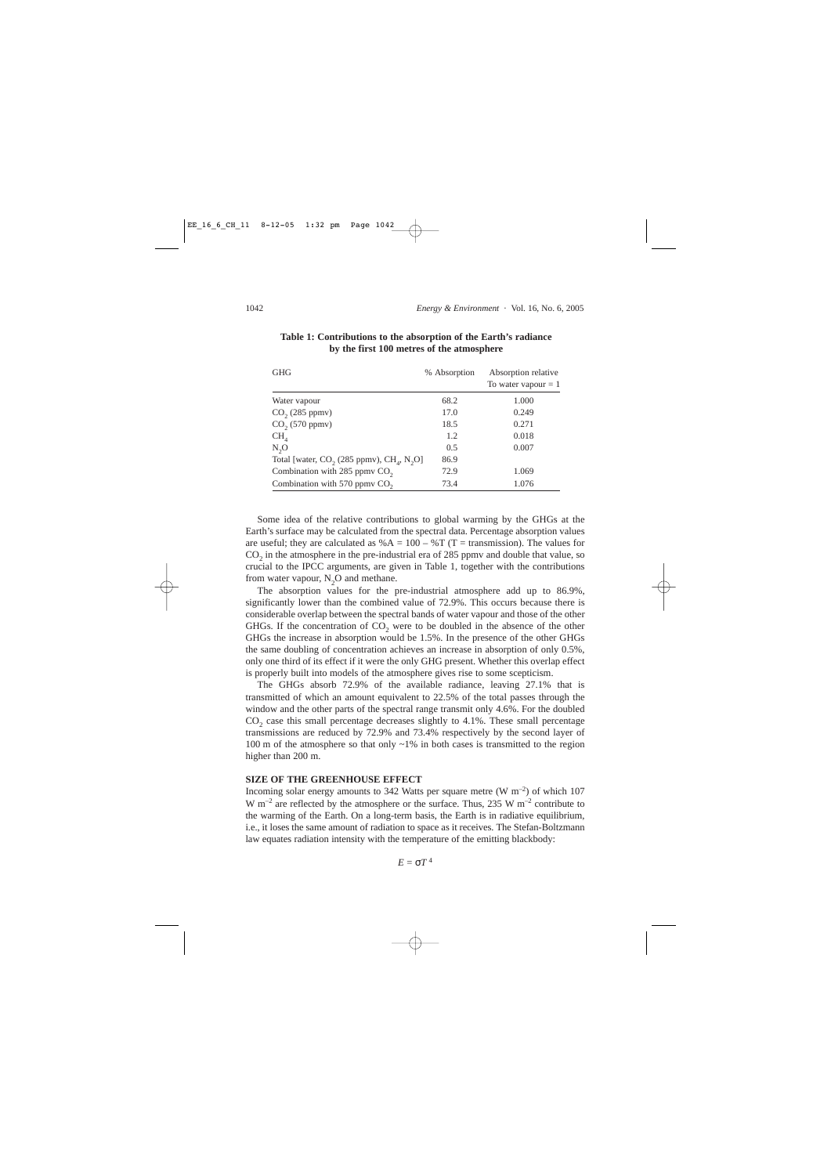| <b>GHG</b>                                                  | % Absorption | Absorption relative<br>To water vapour $= 1$ |
|-------------------------------------------------------------|--------------|----------------------------------------------|
| Water vapour                                                | 68.2         | 1.000                                        |
| $CO2$ (285 ppmv)                                            | 17.0         | 0.249                                        |
| $CO2$ (570 ppmv)                                            | 18.5         | 0.271                                        |
| CH <sub>4</sub>                                             | 1.2          | 0.018                                        |
| $N_{2}O$                                                    | 0.5          | 0.007                                        |
| Total [water, $CO_2$ (285 ppmv), $CH_4$ , N <sub>2</sub> O] | 86.9         |                                              |
| Combination with 285 ppmv $CO2$                             | 72.9         | 1.069                                        |
| Combination with 570 ppmv $CO2$                             | 73.4         | 1.076                                        |

| Table 1: Contributions to the absorption of the Earth's radiance |  |  |
|------------------------------------------------------------------|--|--|
| by the first 100 metres of the atmosphere                        |  |  |

Some idea of the relative contributions to global warming by the GHGs at the Earth's surface may be calculated from the spectral data. Percentage absorption values are useful; they are calculated as  $%A = 100 - \pi$  (T = transmission). The values for  $CO<sub>2</sub>$  in the atmosphere in the pre-industrial era of 285 ppmv and double that value, so crucial to the IPCC arguments, are given in Table 1, together with the contributions from water vapour,  $N_2O$  and methane.

The absorption values for the pre-industrial atmosphere add up to 86.9%, significantly lower than the combined value of 72.9%. This occurs because there is considerable overlap between the spectral bands of water vapour and those of the other GHGs. If the concentration of  $CO<sub>2</sub>$  were to be doubled in the absence of the other GHGs the increase in absorption would be 1.5%. In the presence of the other GHGs the same doubling of concentration achieves an increase in absorption of only 0.5%, only one third of its effect if it were the only GHG present. Whether this overlap effect is properly built into models of the atmosphere gives rise to some scepticism.

The GHGs absorb 72.9% of the available radiance, leaving 27.1% that is transmitted of which an amount equivalent to 22.5% of the total passes through the window and the other parts of the spectral range transmit only 4.6%. For the doubled  $CO<sub>2</sub>$  case this small percentage decreases slightly to 4.1%. These small percentage transmissions are reduced by 72.9% and 73.4% respectively by the second layer of 100 m of the atmosphere so that only  $\sim$ 1% in both cases is transmitted to the region higher than 200 m.

# **SIZE OF THE GREENHOUSE EFFECT**

Incoming solar energy amounts to 342 Watts per square metre (W  $\text{m}^{-2}$ ) of which 107 W  $\mathrm{m}^{-2}$  are reflected by the atmosphere or the surface. Thus, 235 W  $\mathrm{m}^{-2}$  contribute to the warming of the Earth. On a long-term basis, the Earth is in radiative equilibrium, i.e., it loses the same amount of radiation to space as it receives. The Stefan-Boltzmann law equates radiation intensity with the temperature of the emitting blackbody: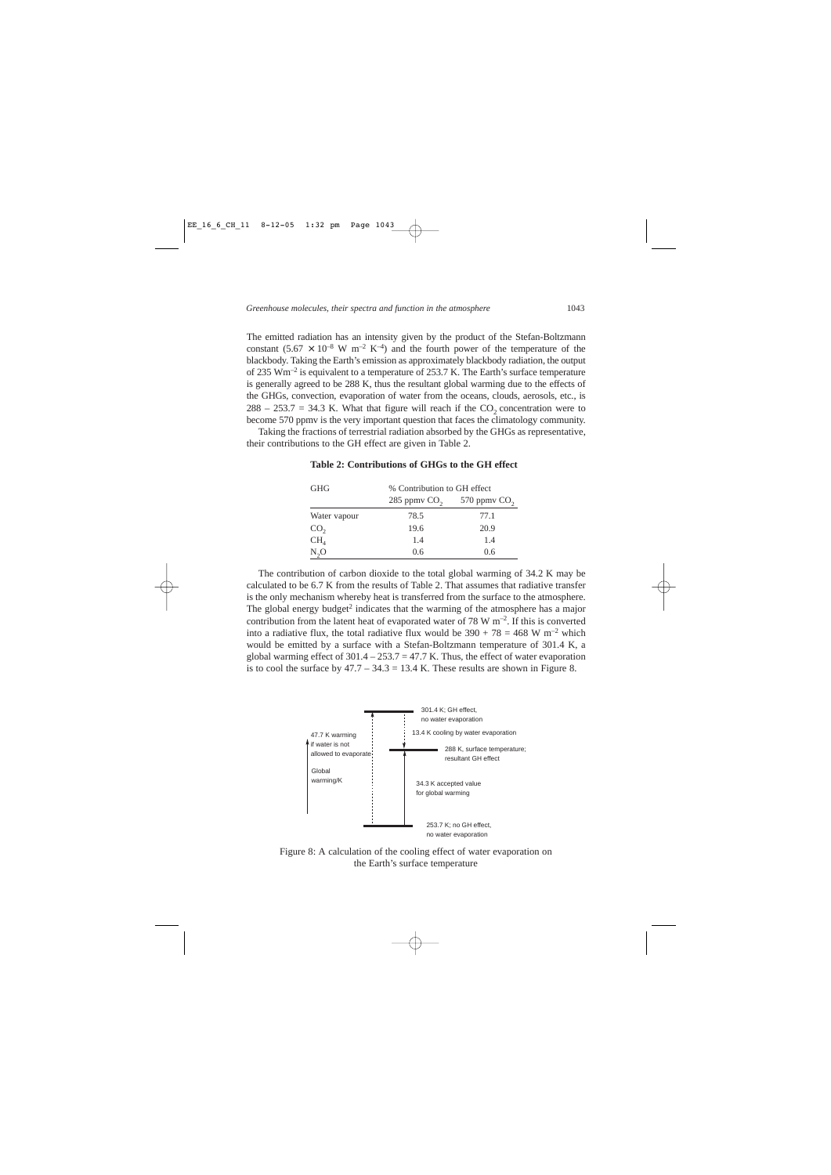The emitted radiation has an intensity given by the product of the Stefan-Boltzmann constant  $(5.67 \times 10^{-8} \text{ W m}^{-2} \text{ K}^{-4})$  and the fourth power of the temperature of the blackbody. Taking the Earth's emission as approximately blackbody radiation, the output of 235 Wm<sup>-2</sup> is equivalent to a temperature of 253.7 K. The Earth's surface temperature is generally agreed to be 288 K, thus the resultant global warming due to the effects of the GHGs, convection, evaporation of water from the oceans, clouds, aerosols, etc., is  $288 - 253.7 = 34.3$  K. What that figure will reach if the CO<sub>2</sub> concentration were to become 570 ppmv is the very important question that faces the climatology community.

Taking the fractions of terrestrial radiation absorbed by the GHGs as representative, their contributions to the GH effect are given in Table 2.

| <b>GHG</b>      | % Contribution to GH effect |                |
|-----------------|-----------------------------|----------------|
|                 | 285 ppmv $CO2$              | 570 ppmv $CO2$ |
| Water vapour    | 78.5                        | 77.1           |
| CO <sub>2</sub> | 19.6                        | 20.9           |
| CH <sub>4</sub> | 1.4                         | 1.4            |
| $N_2O$          | 0.6                         | 0.6            |

## **Table 2: Contributions of GHGs to the GH effect**

The contribution of carbon dioxide to the total global warming of 34.2 K may be calculated to be 6.7 K from the results of Table 2. That assumes that radiative transfer is the only mechanism whereby heat is transferred from the surface to the atmosphere. The global energy budget<sup>2</sup> indicates that the warming of the atmosphere has a major contribution from the latent heat of evaporated water of 78 W  $\mathrm{m}^{-2}$ . If this is converted into a radiative flux, the total radiative flux would be  $390 + 78 = 468$  W m<sup>-2</sup> which would be emitted by a surface with a Stefan-Boltzmann temperature of 301.4 K, a global warming effect of  $301.4 - 253.7 = 47.7$  K. Thus, the effect of water evaporation is to cool the surface by  $47.7 - 34.3 = 13.4$  K. These results are shown in Figure 8.



Figure 8: A calculation of the cooling effect of water evaporation on the Earth's surface temperature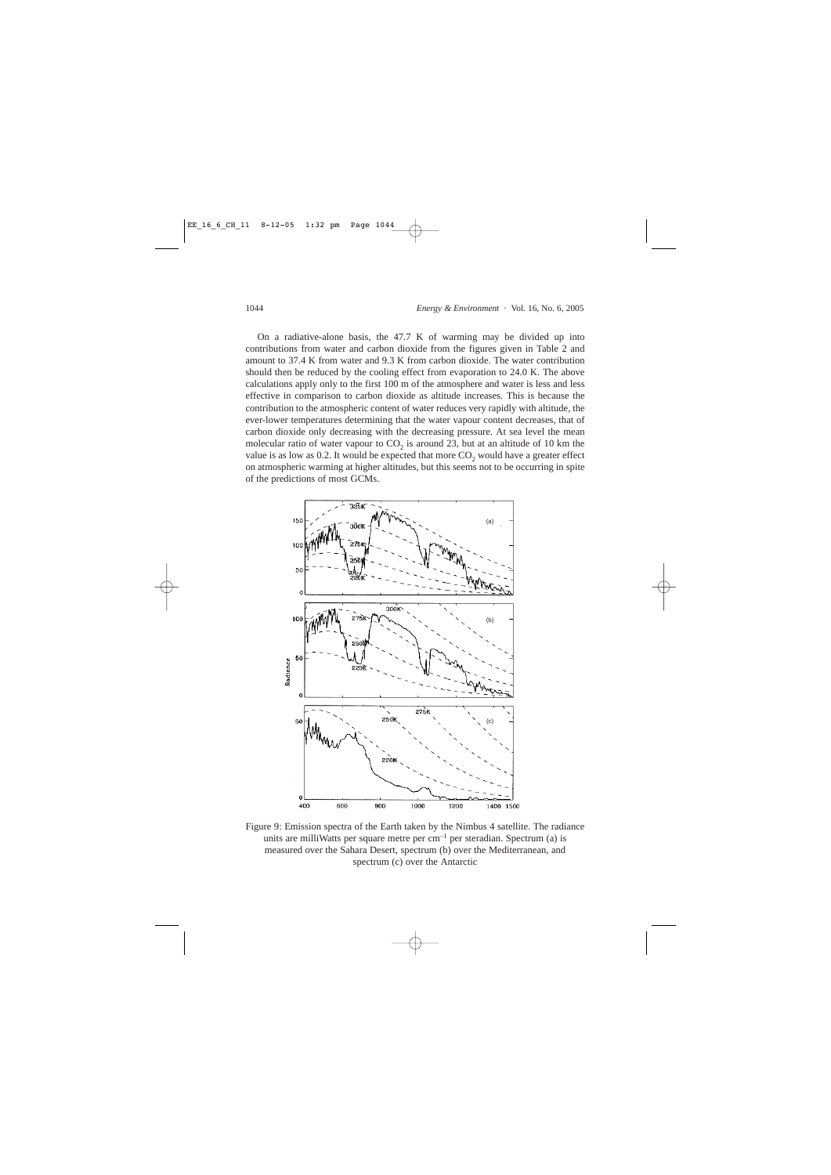On a radiative-alone basis, the 47.7 K of warming may be divided up into contributions from water and carbon dioxide from the figures given in Table 2 and amount to 37.4 K from water and 9.3 K from carbon dioxide. The water contribution should then be reduced by the cooling effect from evaporation to 24.0 K. The above calculations apply only to the first 100 m of the atmosphere and water is less and less effective in comparison to carbon dioxide as altitude increases. This is because the contribution to the atmospheric content of water reduces very rapidly with altitude, the ever-lower temperatures determining that the water vapour content decreases, that of carbon dioxide only decreasing with the decreasing pressure. At sea level the mean molecular ratio of water vapour to  $CO<sub>2</sub>$  is around 23, but at an altitude of 10 km the value is as low as 0.2. It would be expected that more  $CO_2$  would have a greater effect on atmospheric warming at higher altitudes, but this seems not to be occurring in spite of the predictions of most GCMs.



Figure 9: Emission spectra of the Earth taken by the Nimbus 4 satellite. The radiance units are milliWatts per square metre per  $cm^{-1}$  per steradian. Spectrum (a) is measured over the Sahara Desert, spectrum (b) over the Mediterranean, and spectrum (c) over the Antarctic